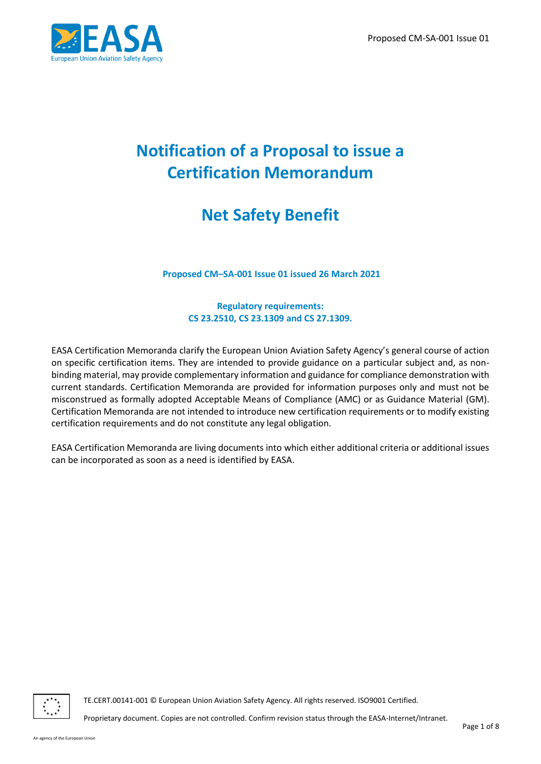

# **Notification of a Proposal to issue a Certification Memorandum**

# **Net Safety Benefit**

**Proposed CM–SA-001 Issue 01 issued 26 March 2021**

**Regulatory requirements: CS 23.2510, CS 23.1309 and CS 27.1309.**

EASA Certification Memoranda clarify the European Union Aviation Safety Agency's general course of action on specific certification items. They are intended to provide guidance on a particular subject and, as nonbinding material, may provide complementary information and guidance for compliance demonstration with current standards. Certification Memoranda are provided for information purposes only and must not be misconstrued as formally adopted Acceptable Means of Compliance (AMC) or as Guidance Material (GM). Certification Memoranda are not intended to introduce new certification requirements or to modify existing certification requirements and do not constitute any legal obligation.

EASA Certification Memoranda are living documents into which either additional criteria or additional issues can be incorporated as soon as a need is identified by EASA.



TE.CERT.00141-001 © European Union Aviation Safety Agency. All rights reserved. ISO9001 Certified.

Proprietary document. Copies are not controlled. Confirm revision status through the EASA-Internet/Intranet.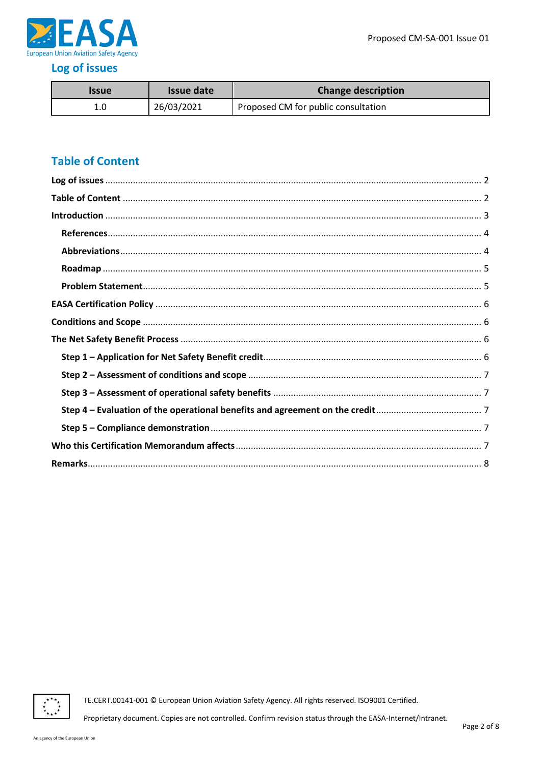

## <span id="page-1-0"></span>Log of issues

| Issue | Issue date | <b>Change description</b>           |
|-------|------------|-------------------------------------|
| 1.0   | 26/03/2021 | Proposed CM for public consultation |

# <span id="page-1-1"></span>**Table of Content**



TE.CERT.00141-001 © European Union Aviation Safety Agency. All rights reserved. ISO9001 Certified.

Proprietary document. Copies are not controlled. Confirm revision status through the EASA-Internet/Intranet.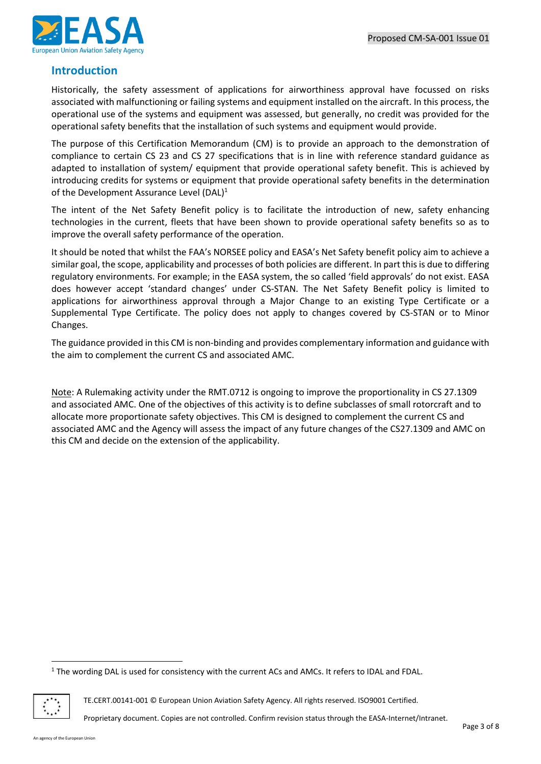

### <span id="page-2-0"></span>**Introduction**

Historically, the safety assessment of applications for airworthiness approval have focussed on risks associated with malfunctioning or failing systems and equipment installed on the aircraft. In this process, the operational use of the systems and equipment was assessed, but generally, no credit was provided for the operational safety benefits that the installation of such systems and equipment would provide.

The purpose of this Certification Memorandum (CM) is to provide an approach to the demonstration of compliance to certain CS 23 and CS 27 specifications that is in line with reference standard guidance as adapted to installation of system/ equipment that provide operational safety benefit. This is achieved by introducing credits for systems or equipment that provide operational safety benefits in the determination of the Development Assurance Level (DAL)<sup>1</sup>

The intent of the Net Safety Benefit policy is to facilitate the introduction of new, safety enhancing technologies in the current, fleets that have been shown to provide operational safety benefits so as to improve the overall safety performance of the operation.

It should be noted that whilst the FAA's NORSEE policy and EASA's Net Safety benefit policy aim to achieve a similar goal, the scope, applicability and processes of both policies are different. In part this is due to differing regulatory environments. For example; in the EASA system, the so called 'field approvals' do not exist. EASA does however accept 'standard changes' under CS-STAN. The Net Safety Benefit policy is limited to applications for airworthiness approval through a Major Change to an existing Type Certificate or a Supplemental Type Certificate. The policy does not apply to changes covered by CS-STAN or to Minor Changes.

The guidance provided in this CM is non-binding and provides complementary information and guidance with the aim to complement the current CS and associated AMC.

Note: A Rulemaking activity under the RMT.0712 is ongoing to improve the proportionality in CS 27.1309 and associated AMC. One of the objectives of this activity is to define subclasses of small rotorcraft and to allocate more proportionate safety objectives. This CM is designed to complement the current CS and associated AMC and the Agency will assess the impact of any future changes of the CS27.1309 and AMC on this CM and decide on the extension of the applicability.

 $1$  The wording DAL is used for consistency with the current ACs and AMCs. It refers to IDAL and FDAL.



TE.CERT.00141-001 © European Union Aviation Safety Agency. All rights reserved. ISO9001 Certified.

Proprietary document. Copies are not controlled. Confirm revision status through the EASA-Internet/Intranet.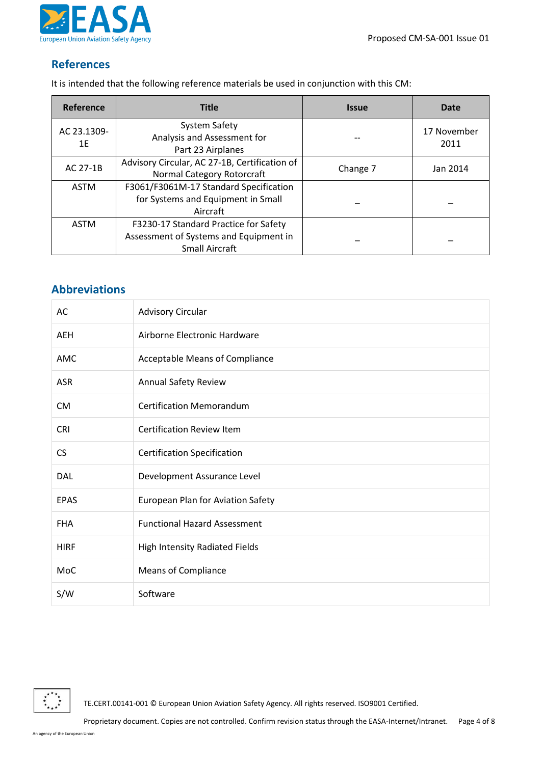Proposed CM-SA-001 Issue 01



## <span id="page-3-0"></span>**References**

It is intended that the following reference materials be used in conjunction with this CM:

| Reference         | <b>Title</b>                                                                                             | <b>Issue</b> | Date                |
|-------------------|----------------------------------------------------------------------------------------------------------|--------------|---------------------|
| AC 23.1309-<br>1E | System Safety<br>Analysis and Assessment for<br>Part 23 Airplanes                                        |              | 17 November<br>2011 |
| AC 27-1B          | Advisory Circular, AC 27-1B, Certification of<br>Normal Category Rotorcraft                              | Change 7     | Jan 2014            |
| ASTM              | F3061/F3061M-17 Standard Specification<br>for Systems and Equipment in Small<br>Aircraft                 |              |                     |
| ASTM              | F3230-17 Standard Practice for Safety<br>Assessment of Systems and Equipment in<br><b>Small Aircraft</b> |              |                     |

### <span id="page-3-1"></span>**Abbreviations**

| AC          | <b>Advisory Circular</b>            |
|-------------|-------------------------------------|
| <b>AEH</b>  | Airborne Electronic Hardware        |
| <b>AMC</b>  | Acceptable Means of Compliance      |
| <b>ASR</b>  | Annual Safety Review                |
| <b>CM</b>   | <b>Certification Memorandum</b>     |
| <b>CRI</b>  | <b>Certification Review Item</b>    |
| <b>CS</b>   | <b>Certification Specification</b>  |
| DAL         | Development Assurance Level         |
| <b>EPAS</b> | European Plan for Aviation Safety   |
| <b>FHA</b>  | <b>Functional Hazard Assessment</b> |
| <b>HIRF</b> | High Intensity Radiated Fields      |
| MoC         | <b>Means of Compliance</b>          |
| S/W         | Software                            |

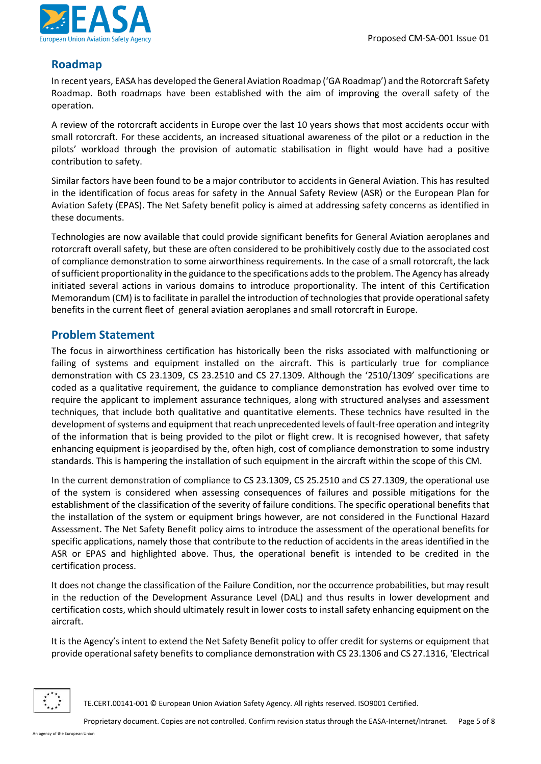

#### <span id="page-4-0"></span>**Roadmap**

In recent years, EASA has developed the General Aviation Roadmap ('GA Roadmap') and the Rotorcraft Safety Roadmap. Both roadmaps have been established with the aim of improving the overall safety of the operation.

A review of the rotorcraft accidents in Europe over the last 10 years shows that most accidents occur with small rotorcraft. For these accidents, an increased situational awareness of the pilot or a reduction in the pilots' workload through the provision of automatic stabilisation in flight would have had a positive contribution to safety.

Similar factors have been found to be a major contributor to accidents in General Aviation. This has resulted in the identification of focus areas for safety in the Annual Safety Review (ASR) or the European Plan for Aviation Safety (EPAS). The Net Safety benefit policy is aimed at addressing safety concerns as identified in these documents.

Technologies are now available that could provide significant benefits for General Aviation aeroplanes and rotorcraft overall safety, but these are often considered to be prohibitively costly due to the associated cost of compliance demonstration to some airworthiness requirements. In the case of a small rotorcraft, the lack of sufficient proportionality in the guidance to the specifications addsto the problem. The Agency has already initiated several actions in various domains to introduce proportionality. The intent of this Certification Memorandum (CM) is to facilitate in parallel the introduction of technologies that provide operational safety benefits in the current fleet of general aviation aeroplanes and small rotorcraft in Europe.

#### <span id="page-4-1"></span>**Problem Statement**

The focus in airworthiness certification has historically been the risks associated with malfunctioning or failing of systems and equipment installed on the aircraft. This is particularly true for compliance demonstration with CS 23.1309, CS 23.2510 and CS 27.1309. Although the '2510/1309' specifications are coded as a qualitative requirement, the guidance to compliance demonstration has evolved over time to require the applicant to implement assurance techniques, along with structured analyses and assessment techniques, that include both qualitative and quantitative elements. These technics have resulted in the development of systems and equipment that reach unprecedented levels of fault-free operation and integrity of the information that is being provided to the pilot or flight crew. It is recognised however, that safety enhancing equipment is jeopardised by the, often high, cost of compliance demonstration to some industry standards. This is hampering the installation of such equipment in the aircraft within the scope of this CM.

In the current demonstration of compliance to CS 23.1309, CS 25.2510 and CS 27.1309, the operational use of the system is considered when assessing consequences of failures and possible mitigations for the establishment of the classification of the severity of failure conditions. The specific operational benefits that the installation of the system or equipment brings however, are not considered in the Functional Hazard Assessment. The Net Safety Benefit policy aims to introduce the assessment of the operational benefits for specific applications, namely those that contribute to the reduction of accidents in the areas identified in the ASR or EPAS and highlighted above. Thus, the operational benefit is intended to be credited in the certification process.

It does not change the classification of the Failure Condition, nor the occurrence probabilities, but may result in the reduction of the Development Assurance Level (DAL) and thus results in lower development and certification costs, which should ultimately result in lower costs to install safety enhancing equipment on the aircraft.

It is the Agency's intent to extend the Net Safety Benefit policy to offer credit for systems or equipment that provide operational safety benefits to compliance demonstration with CS 23.1306 and CS 27.1316, 'Electrical

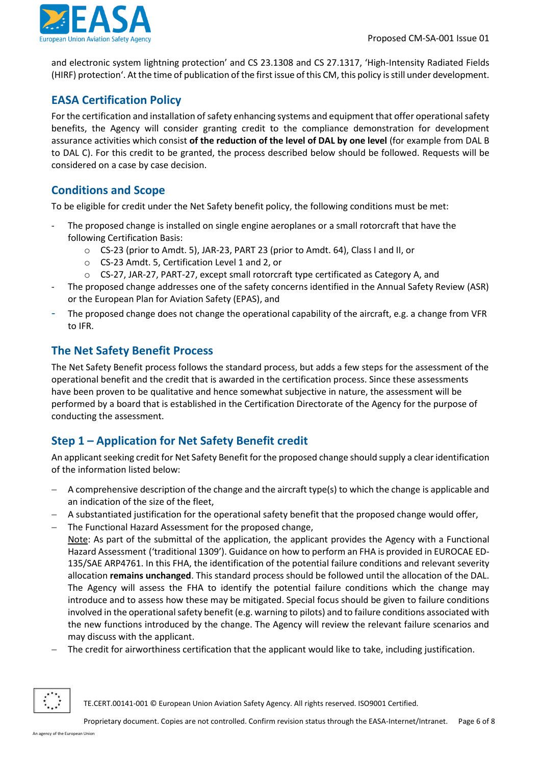

and electronic system lightning protection' and CS 23.1308 and CS 27.1317, 'High-Intensity Radiated Fields (HIRF) protection'. At the time of publication of the first issue of this CM, this policy is still under development.

# <span id="page-5-0"></span>**EASA Certification Policy**

For the certification and installation of safety enhancing systems and equipment that offer operationalsafety benefits, the Agency will consider granting credit to the compliance demonstration for development assurance activities which consist **of the reduction of the level of DAL by one level** (for example from DAL B to DAL C). For this credit to be granted, the process described below should be followed. Requests will be considered on a case by case decision.

## <span id="page-5-1"></span>**Conditions and Scope**

To be eligible for credit under the Net Safety benefit policy, the following conditions must be met:

- The proposed change is installed on single engine aeroplanes or a small rotorcraft that have the following Certification Basis:
	- o CS-23 (prior to Amdt. 5), JAR-23, PART 23 (prior to Amdt. 64), Class I and II, or
	- o CS-23 Amdt. 5, Certification Level 1 and 2, or
	- $\circ$  CS-27, JAR-27, PART-27, except small rotorcraft type certificated as Category A, and
- The proposed change addresses one of the safety concerns identified in the Annual Safety Review (ASR) or the European Plan for Aviation Safety (EPAS), and
- The proposed change does not change the operational capability of the aircraft, e.g. a change from VFR to IFR.

### <span id="page-5-2"></span>**The Net Safety Benefit Process**

may discuss with the applicant.

The Net Safety Benefit process follows the standard process, but adds a few steps for the assessment of the operational benefit and the credit that is awarded in the certification process. Since these assessments have been proven to be qualitative and hence somewhat subjective in nature, the assessment will be performed by a board that is established in the Certification Directorate of the Agency for the purpose of conducting the assessment.

# <span id="page-5-3"></span>**Step 1 – Application for Net Safety Benefit credit**

An applicant seeking credit for Net Safety Benefit for the proposed change should supply a clear identification of the information listed below:

- − A comprehensive description of the change and the aircraft type(s) to which the change is applicable and an indication of the size of the fleet,
- − A substantiated justification for the operational safety benefit that the proposed change would offer,
- − The Functional Hazard Assessment for the proposed change, Note: As part of the submittal of the application, the applicant provides the Agency with a Functional Hazard Assessment ('traditional 1309'). Guidance on how to perform an FHA is provided in EUROCAE ED-135/SAE ARP4761. In this FHA, the identification of the potential failure conditions and relevant severity allocation **remains unchanged**. This standard process should be followed until the allocation of the DAL. The Agency will assess the FHA to identify the potential failure conditions which the change may introduce and to assess how these may be mitigated. Special focus should be given to failure conditions involved in the operational safety benefit (e.g. warning to pilots) and to failure conditions associated with the new functions introduced by the change. The Agency will review the relevant failure scenarios and
- The credit for airworthiness certification that the applicant would like to take, including justification.

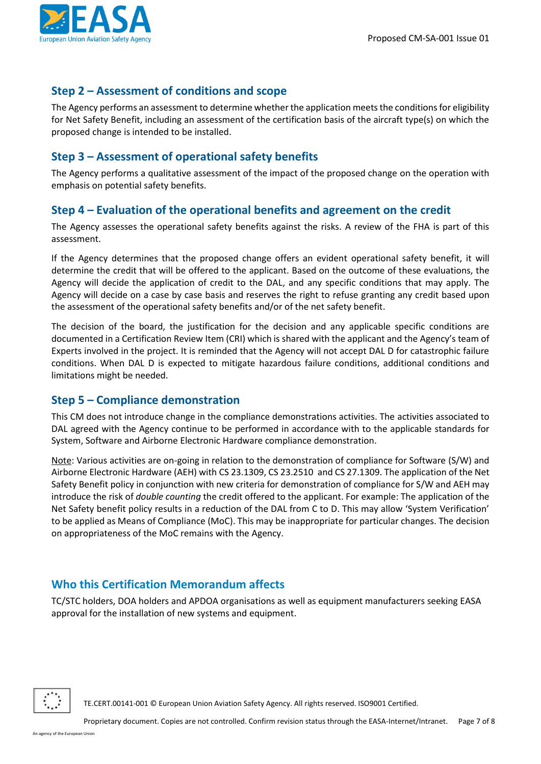

## <span id="page-6-0"></span>**Step 2 – Assessment of conditions and scope**

The Agency performs an assessment to determine whether the application meets the conditions for eligibility for Net Safety Benefit, including an assessment of the certification basis of the aircraft type(s) on which the proposed change is intended to be installed.

### <span id="page-6-1"></span>**Step 3 – Assessment of operational safety benefits**

The Agency performs a qualitative assessment of the impact of the proposed change on the operation with emphasis on potential safety benefits.

#### <span id="page-6-2"></span>**Step 4 – Evaluation of the operational benefits and agreement on the credit**

The Agency assesses the operational safety benefits against the risks. A review of the FHA is part of this assessment.

If the Agency determines that the proposed change offers an evident operational safety benefit, it will determine the credit that will be offered to the applicant. Based on the outcome of these evaluations, the Agency will decide the application of credit to the DAL, and any specific conditions that may apply. The Agency will decide on a case by case basis and reserves the right to refuse granting any credit based upon the assessment of the operational safety benefits and/or of the net safety benefit.

The decision of the board, the justification for the decision and any applicable specific conditions are documented in a Certification Review Item (CRI) which is shared with the applicant and the Agency's team of Experts involved in the project. It is reminded that the Agency will not accept DAL D for catastrophic failure conditions. When DAL D is expected to mitigate hazardous failure conditions, additional conditions and limitations might be needed.

#### <span id="page-6-3"></span>**Step 5 – Compliance demonstration**

This CM does not introduce change in the compliance demonstrations activities. The activities associated to DAL agreed with the Agency continue to be performed in accordance with to the applicable standards for System, Software and Airborne Electronic Hardware compliance demonstration.

Note: Various activities are on-going in relation to the demonstration of compliance for Software (S/W) and Airborne Electronic Hardware (AEH) with CS 23.1309, CS 23.2510 and CS 27.1309. The application of the Net Safety Benefit policy in conjunction with new criteria for demonstration of compliance for S/W and AEH may introduce the risk of *double counting* the credit offered to the applicant. For example: The application of the Net Safety benefit policy results in a reduction of the DAL from C to D. This may allow 'System Verification' to be applied as Means of Compliance (MoC). This may be inappropriate for particular changes. The decision on appropriateness of the MoC remains with the Agency.

# <span id="page-6-4"></span>**Who this Certification Memorandum affects**

TC/STC holders, DOA holders and APDOA organisations as well as equipment manufacturers seeking EASA approval for the installation of new systems and equipment.